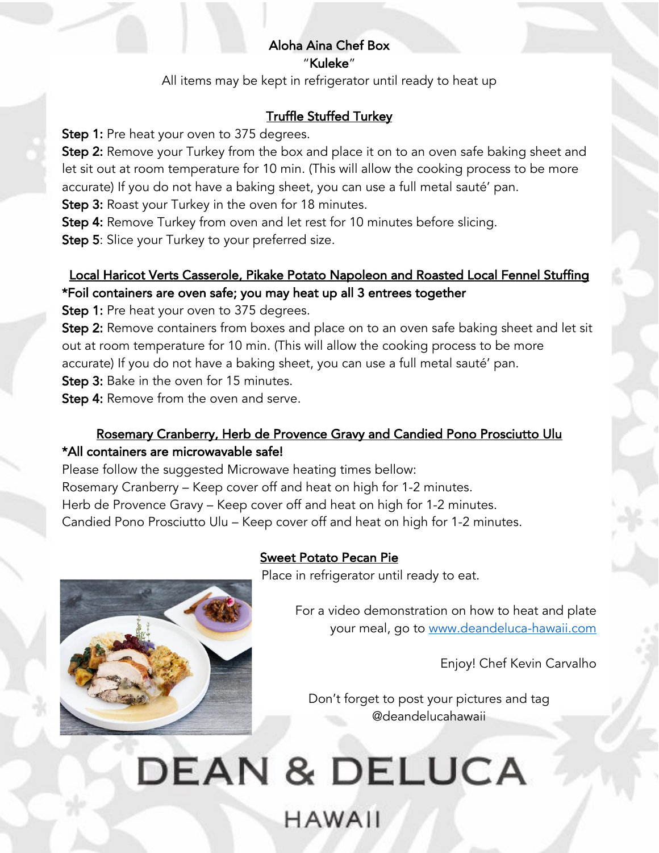### Aloha Aina Chef Box "Kuleke"

All items may be kept in refrigerator until ready to heat up

# Truffle Stuffed Turkey

**Step 1:** Pre heat your oven to 375 degrees.

**Step 2:** Remove your Turkey from the box and place it on to an oven safe baking sheet and let sit out at room temperature for 10 min. (This will allow the cooking process to be more accurate) If you do not have a baking sheet, you can use a full metal sauté' pan.

**Step 3:** Roast your Turkey in the oven for 18 minutes.

Step 4: Remove Turkey from oven and let rest for 10 minutes before slicing.

**Step 5:** Slice your Turkey to your preferred size.

### Local Haricot Verts Casserole, Pikake Potato Napoleon and Roasted Local Fennel Stuffing \*Foil containers are oven safe; you may heat up all 3 entrees together

**Step 1:** Pre heat your oven to 375 degrees.

Step 2: Remove containers from boxes and place on to an oven safe baking sheet and let sit out at room temperature for 10 min. (This will allow the cooking process to be more accurate) If you do not have a baking sheet, you can use a full metal sauté' pan.

**Step 3:** Bake in the oven for 15 minutes.

Step 4: Remove from the oven and serve.

# Rosemary Cranberry, Herb de Provence Gravy and Candied Pono Prosciutto Ulu \*All containers are microwavable safe!

Please follow the suggested Microwave heating times bellow: Rosemary Cranberry – Keep cover off and heat on high for 1-2 minutes. Herb de Provence Gravy – Keep cover off and heat on high for 1-2 minutes. Candied Pono Prosciutto Ulu – Keep cover off and heat on high for 1-2 minutes.

# Sweet Potato Pecan Pie

Place in refrigerator until ready to eat.

For a video demonstration on how to heat and plate your meal, go to www.deandeluca-hawaii.com

Enjoy! Chef Kevin Carvalho

Don't forget to post your pictures and tag @deandelucahawaii

# **DEAN & DELUCA HAWAII**